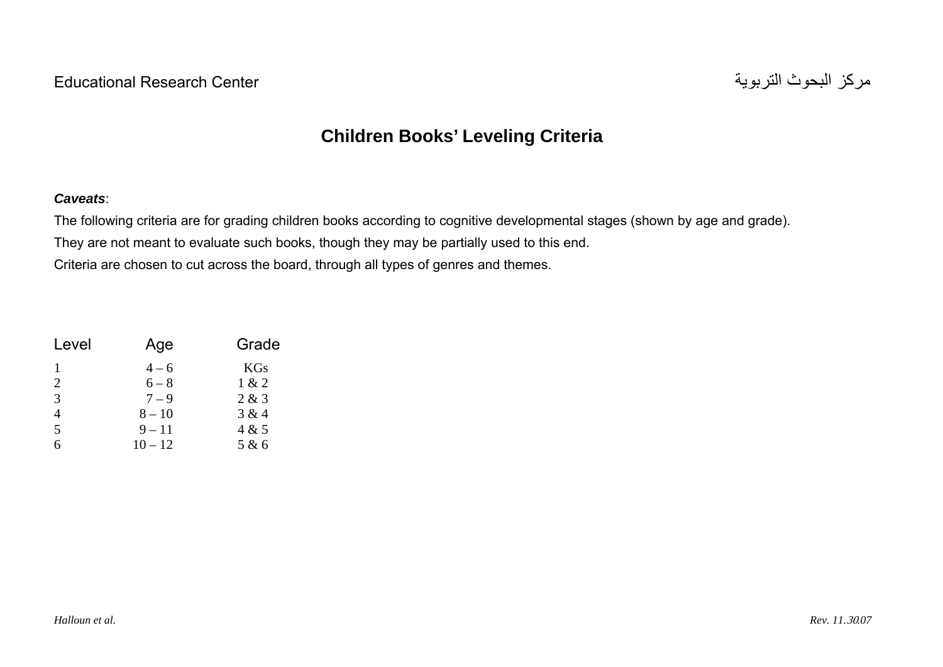## **Children Books' Leveling Criteria**

## *Caveats*:

The following criteria are for grading children books according to cognitive developmental stages (shown by age and grade). They are not meant to evaluate such books, though they may be partially used to this end. Criteria are chosen to cut across the board, through all types of genres and themes.

| Level          | Age       | Grade      |  |  |
|----------------|-----------|------------|--|--|
|                | $4 - 6$   | <b>KGs</b> |  |  |
| 2              | $6 - 8$   | 1 & 2      |  |  |
| 3              | $7 - 9$   | 2 & 3      |  |  |
| $\overline{4}$ | $8 - 10$  | 3 & 4      |  |  |
| 5              | $9 - 11$  | 4 & 5      |  |  |
| 6              | $10 - 12$ | 5 & 6      |  |  |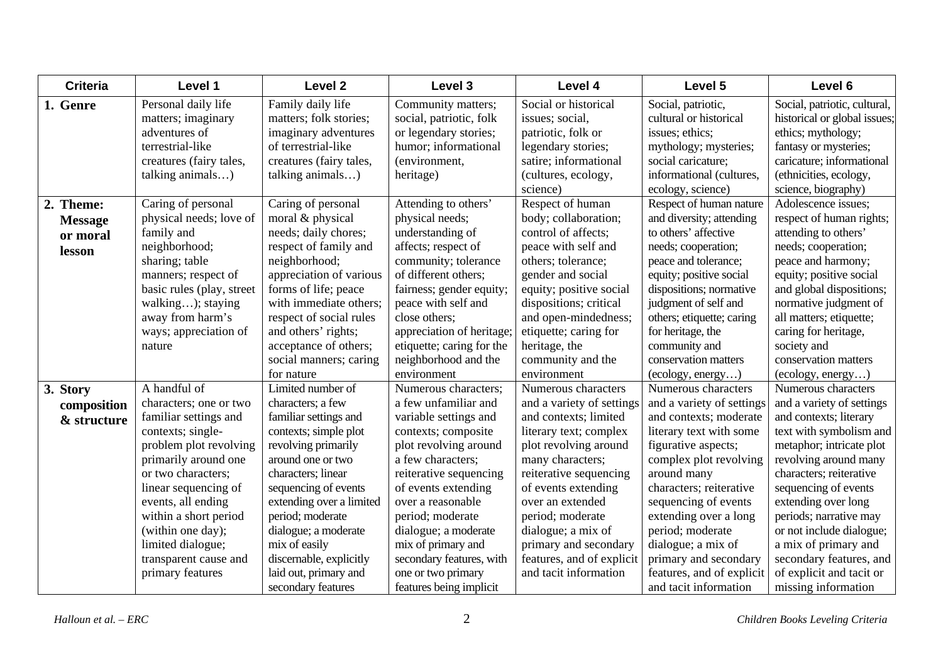| <b>Criteria</b> | Level 1                   | Level <sub>2</sub>       | Level 3                   | Level 4                   | Level 5                   | Level 6                      |
|-----------------|---------------------------|--------------------------|---------------------------|---------------------------|---------------------------|------------------------------|
| 1. Genre        | Personal daily life       | Family daily life        | Community matters;        | Social or historical      | Social, patriotic,        | Social, patriotic, cultural, |
|                 | matters; imaginary        | matters; folk stories;   | social, patriotic, folk   | issues; social,           | cultural or historical    | historical or global issues; |
|                 | adventures of             | imaginary adventures     | or legendary stories;     | patriotic, folk or        | issues; ethics;           | ethics; mythology;           |
|                 | terrestrial-like          | of terrestrial-like      | humor; informational      | legendary stories;        | mythology; mysteries;     | fantasy or mysteries;        |
|                 | creatures (fairy tales,   | creatures (fairy tales,  | (environment,             | satire; informational     | social caricature;        | caricature; informational    |
|                 | talking animals)          | talking animals)         | heritage)                 | (cultures, ecology,       | informational (cultures,  | (ethnicities, ecology,       |
|                 |                           |                          |                           | science)                  | ecology, science)         | science, biography)          |
| 2. Theme:       | Caring of personal        | Caring of personal       | Attending to others'      | Respect of human          | Respect of human nature   | Adolescence issues;          |
| <b>Message</b>  | physical needs; love of   | moral & physical         | physical needs;           | body; collaboration;      | and diversity; attending  | respect of human rights;     |
| or moral        | family and                | needs; daily chores;     | understanding of          | control of affects;       | to others' affective      | attending to others'         |
| lesson          | neighborhood;             | respect of family and    | affects; respect of       | peace with self and       | needs; cooperation;       | needs; cooperation;          |
|                 | sharing; table            | neighborhood;            | community; tolerance      | others; tolerance;        | peace and tolerance;      | peace and harmony;           |
|                 | manners; respect of       | appreciation of various  | of different others;      | gender and social         | equity; positive social   | equity; positive social      |
|                 | basic rules (play, street | forms of life; peace     | fairness; gender equity;  | equity; positive social   | dispositions; normative   | and global dispositions;     |
|                 | walking); staying         | with immediate others;   | peace with self and       | dispositions; critical    | judgment of self and      | normative judgment of        |
|                 | away from harm's          | respect of social rules  | close others;             | and open-mindedness;      | others; etiquette; caring | all matters; etiquette;      |
|                 | ways; appreciation of     | and others' rights;      | appreciation of heritage; | etiquette; caring for     | for heritage, the         | caring for heritage,         |
|                 | nature                    | acceptance of others;    | etiquette; caring for the | heritage, the             | community and             | society and                  |
|                 |                           | social manners; caring   | neighborhood and the      | community and the         | conservation matters      | conservation matters         |
|                 |                           | for nature               | environment               | environment               | (ecolor, energy)          | (ecolor, energy)             |
| 3. Story        | A handful of              | Limited number of        | Numerous characters;      | Numerous characters       | Numerous characters       | Numerous characters          |
| composition     | characters; one or two    | characters; a few        | a few unfamiliar and      | and a variety of settings | and a variety of settings | and a variety of settings    |
| & structure     | familiar settings and     | familiar settings and    | variable settings and     | and contexts; limited     | and contexts; moderate    | and contexts; literary       |
|                 | contexts; single-         | contexts; simple plot    | contexts; composite       | literary text; complex    | literary text with some   | text with symbolism and      |
|                 | problem plot revolving    | revolving primarily      | plot revolving around     | plot revolving around     | figurative aspects;       | metaphor; intricate plot     |
|                 | primarily around one      | around one or two        | a few characters;         | many characters;          | complex plot revolving    | revolving around many        |
|                 | or two characters;        | characters; linear       | reiterative sequencing    | reiterative sequencing    | around many               | characters; reiterative      |
|                 | linear sequencing of      | sequencing of events     | of events extending       | of events extending       | characters; reiterative   | sequencing of events         |
|                 | events, all ending        | extending over a limited | over a reasonable         | over an extended          | sequencing of events      | extending over long          |
|                 | within a short period     | period; moderate         | period; moderate          | period; moderate          | extending over a long     | periods; narrative may       |
|                 | (within one day);         | dialogue; a moderate     | dialogue; a moderate      | dialogue; a mix of        | period; moderate          | or not include dialogue;     |
|                 | limited dialogue;         | mix of easily            | mix of primary and        | primary and secondary     | dialogue; a mix of        | a mix of primary and         |
|                 | transparent cause and     | discernable, explicitly  | secondary features, with  | features, and of explicit | primary and secondary     | secondary features, and      |
|                 | primary features          | laid out, primary and    | one or two primary        | and tacit information     | features, and of explicit | of explicit and tacit or     |
|                 |                           | secondary features       | features being implicit   |                           | and tacit information     | missing information          |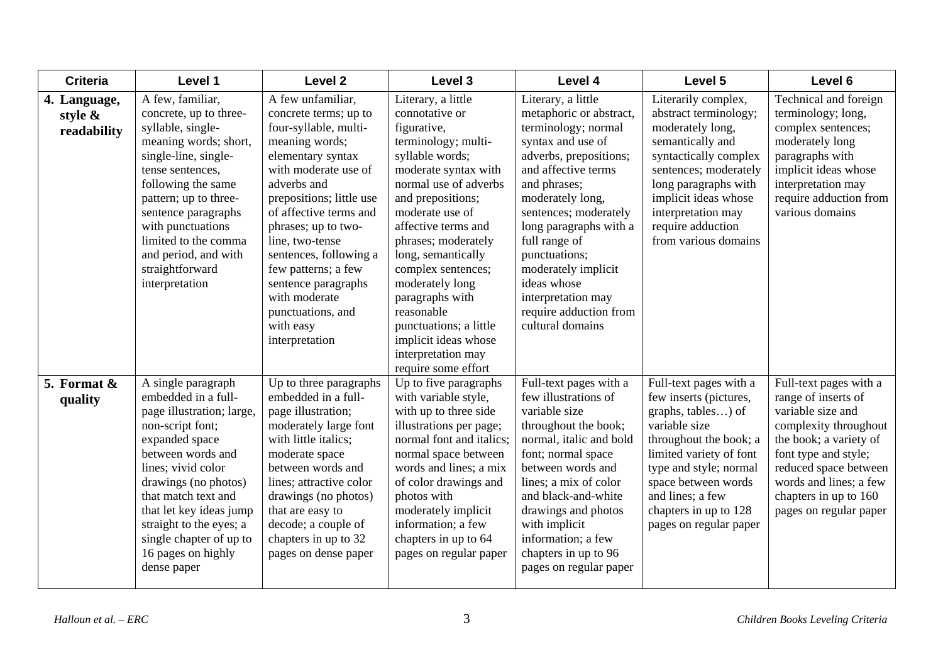| <b>Criteria</b>                           | Level 1                                                                                                                                                                                                                                                                                                                      | Level <sub>2</sub>                                                                                                                                                                                                                                                                                                                                                                             | Level 3                                                                                                                                                                                                                                                                                                                                                                                                                             | Level 4                                                                                                                                                                                                                                                                                                                                                                       | Level 5                                                                                                                                                                                                                                                              | Level 6                                                                                                                                                                                                                                             |
|-------------------------------------------|------------------------------------------------------------------------------------------------------------------------------------------------------------------------------------------------------------------------------------------------------------------------------------------------------------------------------|------------------------------------------------------------------------------------------------------------------------------------------------------------------------------------------------------------------------------------------------------------------------------------------------------------------------------------------------------------------------------------------------|-------------------------------------------------------------------------------------------------------------------------------------------------------------------------------------------------------------------------------------------------------------------------------------------------------------------------------------------------------------------------------------------------------------------------------------|-------------------------------------------------------------------------------------------------------------------------------------------------------------------------------------------------------------------------------------------------------------------------------------------------------------------------------------------------------------------------------|----------------------------------------------------------------------------------------------------------------------------------------------------------------------------------------------------------------------------------------------------------------------|-----------------------------------------------------------------------------------------------------------------------------------------------------------------------------------------------------------------------------------------------------|
| 4. Language,<br>style $\&$<br>readability | A few, familiar,<br>concrete, up to three-<br>syllable, single-<br>meaning words; short,<br>single-line, single-<br>tense sentences,<br>following the same<br>pattern; up to three-<br>sentence paragraphs<br>with punctuations<br>limited to the comma<br>and period, and with<br>straightforward<br>interpretation         | A few unfamiliar,<br>concrete terms; up to<br>four-syllable, multi-<br>meaning words;<br>elementary syntax<br>with moderate use of<br>adverbs and<br>prepositions; little use<br>of affective terms and<br>phrases; up to two-<br>line, two-tense<br>sentences, following a<br>few patterns; a few<br>sentence paragraphs<br>with moderate<br>punctuations, and<br>with easy<br>interpretation | Literary, a little<br>connotative or<br>figurative,<br>terminology; multi-<br>syllable words;<br>moderate syntax with<br>normal use of adverbs<br>and prepositions;<br>moderate use of<br>affective terms and<br>phrases; moderately<br>long, semantically<br>complex sentences;<br>moderately long<br>paragraphs with<br>reasonable<br>punctuations; a little<br>implicit ideas whose<br>interpretation may<br>require some effort | Literary, a little<br>metaphoric or abstract,<br>terminology; normal<br>syntax and use of<br>adverbs, prepositions;<br>and affective terms<br>and phrases;<br>moderately long,<br>sentences; moderately<br>long paragraphs with a<br>full range of<br>punctuations;<br>moderately implicit<br>ideas whose<br>interpretation may<br>require adduction from<br>cultural domains | Literarily complex,<br>abstract terminology;<br>moderately long,<br>semantically and<br>syntactically complex<br>sentences; moderately<br>long paragraphs with<br>implicit ideas whose<br>interpretation may<br>require adduction<br>from various domains            | Technical and foreign<br>terminology; long,<br>complex sentences;<br>moderately long<br>paragraphs with<br>implicit ideas whose<br>interpretation may<br>require adduction from<br>various domains                                                  |
| 5. Format $\&$<br>quality                 | A single paragraph<br>embedded in a full-<br>page illustration; large,<br>non-script font;<br>expanded space<br>between words and<br>lines; vivid color<br>drawings (no photos)<br>that match text and<br>that let key ideas jump<br>straight to the eyes; a<br>single chapter of up to<br>16 pages on highly<br>dense paper | Up to three paragraphs<br>embedded in a full-<br>page illustration;<br>moderately large font<br>with little italics;<br>moderate space<br>between words and<br>lines; attractive color<br>drawings (no photos)<br>that are easy to<br>decode; a couple of<br>chapters in up to 32<br>pages on dense paper                                                                                      | Up to five paragraphs<br>with variable style,<br>with up to three side<br>illustrations per page;<br>normal font and italics;<br>normal space between<br>words and lines; a mix<br>of color drawings and<br>photos with<br>moderately implicit<br>information; a few<br>chapters in up to 64<br>pages on regular paper                                                                                                              | Full-text pages with a<br>few illustrations of<br>variable size<br>throughout the book;<br>normal, italic and bold<br>font; normal space<br>between words and<br>lines; a mix of color<br>and black-and-white<br>drawings and photos<br>with implicit<br>information; a few<br>chapters in up to 96<br>pages on regular paper                                                 | Full-text pages with a<br>few inserts (pictures,<br>graphs, tables) of<br>variable size<br>throughout the book; a<br>limited variety of font<br>type and style; normal<br>space between words<br>and lines; a few<br>chapters in up to 128<br>pages on regular paper | Full-text pages with a<br>range of inserts of<br>variable size and<br>complexity throughout<br>the book; a variety of<br>font type and style;<br>reduced space between<br>words and lines; a few<br>chapters in up to 160<br>pages on regular paper |